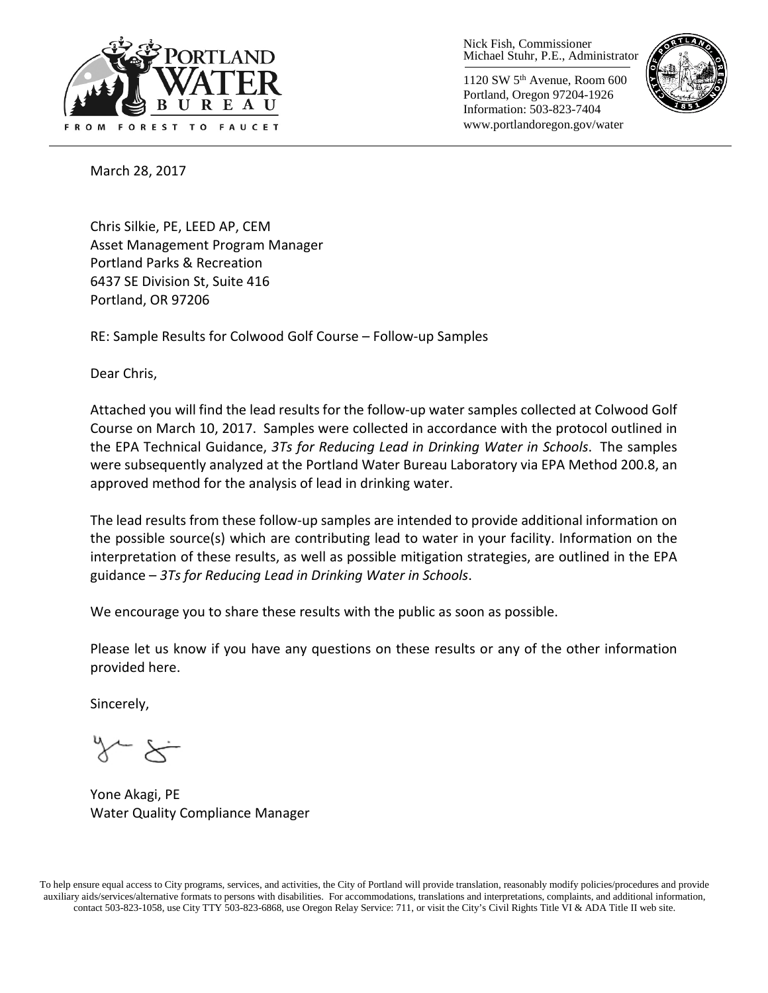

Nick Fish, Commissioner Michael Stuhr, P.E., Administrator

1120 SW 5th Avenue, Room 600 Portland, Oregon 97204-1926 Information: 503-823-7404 www.portlandoregon.gov/water



March 28, 2017

Chris Silkie, PE, LEED AP, CEM Asset Management Program Manager Portland Parks & Recreation 6437 SE Division St, Suite 416 Portland, OR 97206

RE: Sample Results for Colwood Golf Course – Follow-up Samples

Dear Chris,

Attached you will find the lead results for the follow-up water samples collected at Colwood Golf Course on March 10, 2017. Samples were collected in accordance with the protocol outlined in the EPA Technical Guidance, *3Ts for Reducing Lead in Drinking Water in Schools*. The samples were subsequently analyzed at the Portland Water Bureau Laboratory via EPA Method 200.8, an approved method for the analysis of lead in drinking water.

The lead results from these follow-up samples are intended to provide additional information on the possible source(s) which are contributing lead to water in your facility. Information on the interpretation of these results, as well as possible mitigation strategies, are outlined in the EPA guidance – *3Ts for Reducing Lead in Drinking Water in Schools*.

We encourage you to share these results with the public as soon as possible.

Please let us know if you have any questions on these results or any of the other information provided here.

Sincerely,

Yone Akagi, PE Water Quality Compliance Manager

To help ensure equal access to City programs, services, and activities, the City of Portland will provide translation, reasonably modify policies/procedures and provide auxiliary aids/services/alternative formats to persons with disabilities. For accommodations, translations and interpretations, complaints, and additional information, contact 503-823-1058, use City TTY 503-823-6868, use Oregon Relay Service: 711, or visi[t the City's Civil Rights Title VI & ADA Title II web site.](http://www.portlandoregon.gov/oehr/66458)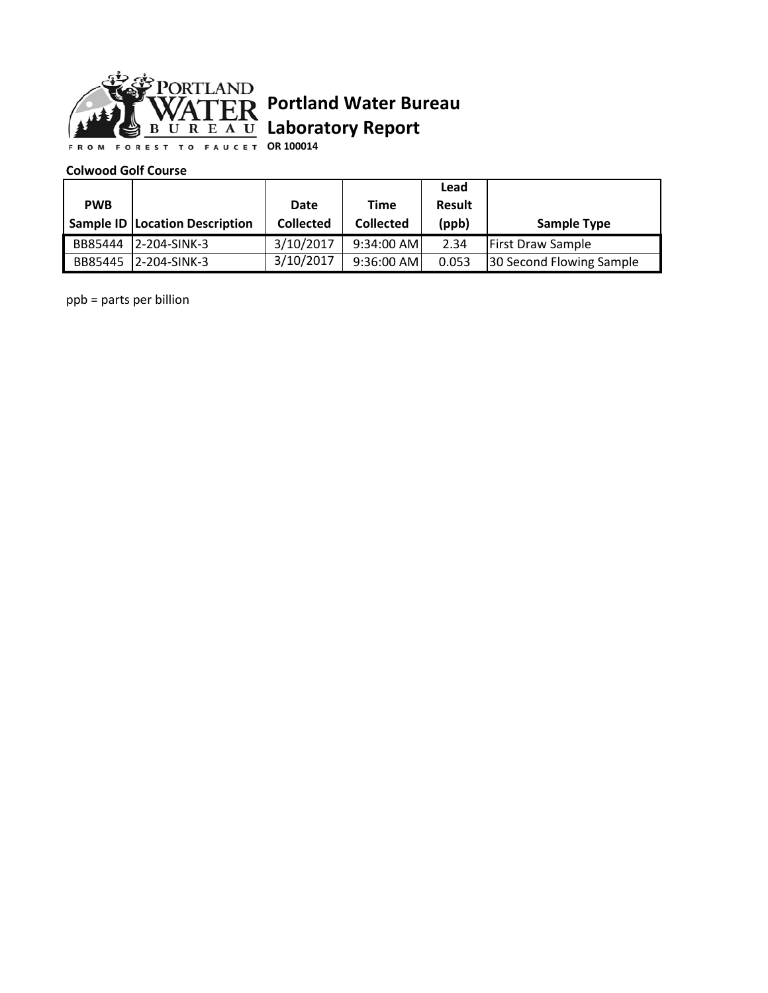

## **Portland Water Bureau Laboratory Report**

**OR 100014**

## **Colwood Golf Course**

|            |                                       |                  |                  | Lead          |                          |
|------------|---------------------------------------|------------------|------------------|---------------|--------------------------|
| <b>PWB</b> |                                       | Date             | Time             | <b>Result</b> |                          |
|            | <b>Sample ID Location Description</b> | <b>Collected</b> | <b>Collected</b> | (ppb)         | <b>Sample Type</b>       |
| BB85444    | 2-204-SINK-3                          | 3/10/2017        | 9:34:00 AM       | 2.34          | <b>First Draw Sample</b> |
|            | BB85445 12-204-SINK-3                 | 3/10/2017        | $9:36:00$ AM     | 0.053         | 30 Second Flowing Sample |

ppb = parts per billion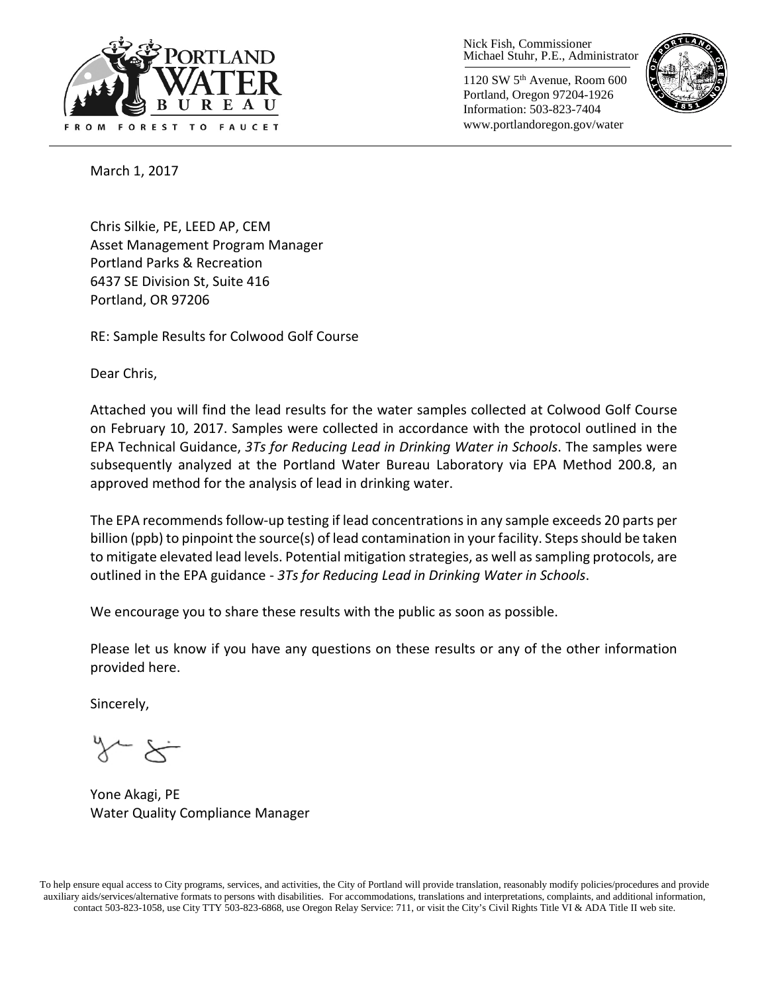

Nick Fish, Commissioner Michael Stuhr, P.E., Administrator

1120 SW 5th Avenue, Room 600 Portland, Oregon 97204-1926 Information: 503-823-7404 www.portlandoregon.gov/water



March 1, 2017

Chris Silkie, PE, LEED AP, CEM Asset Management Program Manager Portland Parks & Recreation 6437 SE Division St, Suite 416 Portland, OR 97206

RE: Sample Results for Colwood Golf Course

Dear Chris,

Attached you will find the lead results for the water samples collected at Colwood Golf Course on February 10, 2017. Samples were collected in accordance with the protocol outlined in the EPA Technical Guidance, *3Ts for Reducing Lead in Drinking Water in Schools*. The samples were subsequently analyzed at the Portland Water Bureau Laboratory via EPA Method 200.8, an approved method for the analysis of lead in drinking water.

The EPA recommends follow-up testing if lead concentrations in any sample exceeds 20 parts per billion (ppb) to pinpoint the source(s) of lead contamination in your facility. Steps should be taken to mitigate elevated lead levels. Potential mitigation strategies, as well as sampling protocols, are outlined in the EPA guidance - *3Ts for Reducing Lead in Drinking Water in Schools*.

We encourage you to share these results with the public as soon as possible.

Please let us know if you have any questions on these results or any of the other information provided here.

Sincerely,

Yone Akagi, PE Water Quality Compliance Manager

To help ensure equal access to City programs, services, and activities, the City of Portland will provide translation, reasonably modify policies/procedures and provide auxiliary aids/services/alternative formats to persons with disabilities. For accommodations, translations and interpretations, complaints, and additional information, contact 503-823-1058, use City TTY 503-823-6868, use Oregon Relay Service: 711, or visi[t the City's Civil Rights Title VI & ADA Title II web site.](http://www.portlandoregon.gov/oehr/66458)